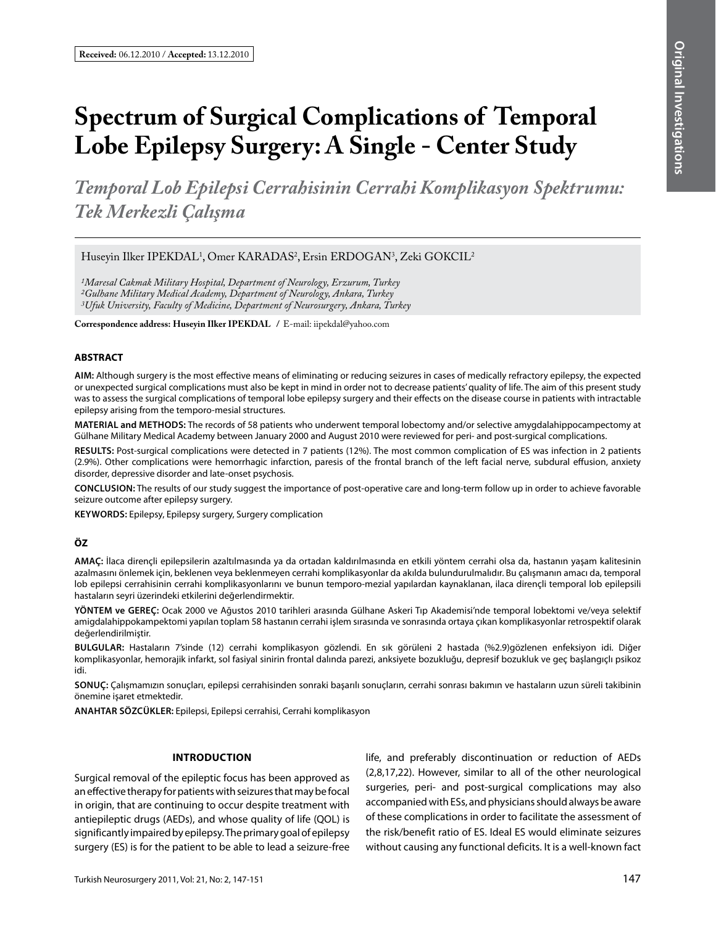# **Spectrum of Surgical Complications of Temporal Lobe Epilepsy Surgery: A Single - Center Study**

*Temporal Lob Epilepsi Cerrahisinin Cerrahi Komplikasyon Spektrumu: Tek Merkezli Çalışma*

Huseyin Ilker IPEKDAL1 , Omer KARADAS2 , Ersin ERDOGAN3 , Zeki GOKCIL2

*1Maresal Cakmak Military Hospital, Department of Neurology, Erzurum, Turkey 2Gulhane Military Medical Academy, Department of Neurology, Ankara, Turkey 3Ufuk University, Faculty of Medicine, Department of Neurosurgery, Ankara, Turkey*

**Correspondence address: Huseyin Ilker IPEKDAL /** E-mail: iipekdal@yahoo.com

#### **ABSTRACT**

**AIm:** Although surgery is the most effective means of eliminating or reducing seizures in cases of medically refractory epilepsy, the expected or unexpected surgical complications must also be kept in mind in order not to decrease patients' quality of life. The aim of this present study was to assess the surgical complications of temporal lobe epilepsy surgery and their effects on the disease course in patients with intractable epilepsy arising from the temporo-mesial structures.

**MaterIal and Methods:** The records of 58 patients who underwent temporal lobectomy and/or selective amygdalahippocampectomy at Gülhane Military Medical Academy between January 2000 and August 2010 were reviewed for peri- and post-surgical complications.

**Results:** Post-surgical complications were detected in 7 patients (12%). The most common complication of ES was infection in 2 patients (2.9%). Other complications were hemorrhagic infarction, paresis of the frontal branch of the left facial nerve, subdural effusion, anxiety disorder, depressive disorder and late-onset psychosis.

**ConclusIon:** The results of our study suggest the importance of post-operative care and long-term follow up in order to achieve favorable seizure outcome after epilepsy surgery.

**Keywords:** Epilepsy, Epilepsy surgery, Surgery complication

## **ÖZ**

**AMAÇ:** İlaca dirençli epilepsilerin azaltılmasında ya da ortadan kaldırılmasında en etkili yöntem cerrahi olsa da, hastanın yaşam kalitesinin azalmasını önlemek için, beklenen veya beklenmeyen cerrahi komplikasyonlar da akılda bulundurulmalıdır. Bu çalışmanın amacı da, temporal lob epilepsi cerrahisinin cerrahi komplikasyonlarını ve bunun temporo-mezial yapılardan kaynaklanan, ilaca dirençli temporal lob epilepsili hastaların seyri üzerindeki etkilerini değerlendirmektir.

**YÖNTEM ve GEREÇ:** Ocak 2000 ve Ağustos 2010 tarihleri arasında Gülhane Askeri Tıp Akademisi'nde temporal lobektomi ve/veya selektif amigdalahippokampektomi yapılan toplam 58 hastanın cerrahi işlem sırasında ve sonrasında ortaya çıkan komplikasyonlar retrospektif olarak değerlendirilmiştir.

**BULGULAR:** Hastaların 7'sinde (12) cerrahi komplikasyon gözlendi. En sık görüleni 2 hastada (%2.9)gözlenen enfeksiyon idi. Diğer komplikasyonlar, hemorajik infarkt, sol fasiyal sinirin frontal dalında parezi, anksiyete bozukluğu, depresif bozukluk ve geç başlangıçlı psikoz idi.

**SONUÇ:** Çalışmamızın sonuçları, epilepsi cerrahisinden sonraki başarılı sonuçların, cerrahi sonrası bakımın ve hastaların uzun süreli takibinin önemine işaret etmektedir.

**ANAHTAR SÖZCÜKLER:** Epilepsi, Epilepsi cerrahisi, Cerrahi komplikasyon

#### **IntroductIon**

Surgical removal of the epileptic focus has been approved as an effective therapy for patients with seizures that may be focal in origin, that are continuing to occur despite treatment with antiepileptic drugs (AEDs), and whose quality of life (QOL) is significantly impaired by epilepsy. The primary goal of epilepsy surgery (ES) is for the patient to be able to lead a seizure-free life, and preferably discontinuation or reduction of AEDs (2,8,17,22). However, similar to all of the other neurological surgeries, peri- and post-surgical complications may also accompanied with ESs, and physicians should always be aware of these complications in order to facilitate the assessment of the risk/benefit ratio of ES. Ideal ES would eliminate seizures without causing any functional deficits. It is a well-known fact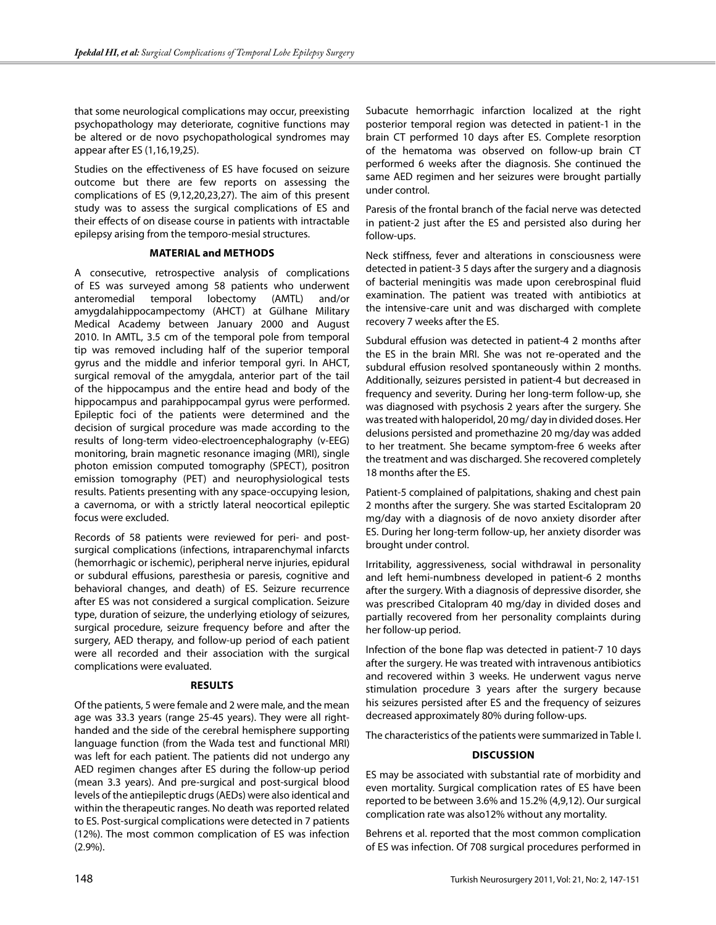that some neurological complications may occur, preexisting psychopathology may deteriorate, cognitive functions may be altered or de novo psychopathological syndromes may appear after ES (1,16,19,25).

Studies on the effectiveness of ES have focused on seizure outcome but there are few reports on assessing the complications of ES (9,12,20,23,27). The aim of this present study was to assess the surgical complications of ES and their effects of on disease course in patients with intractable epilepsy arising from the temporo-mesial structures.

## **MaterIal and methods**

A consecutive, retrospective analysis of complications of ES was surveyed among 58 patients who underwent anteromedial temporal lobectomy (AMTL) and/or amygdalahippocampectomy (AHCT) at Gülhane Military Medical Academy between January 2000 and August 2010. In AMTL, 3.5 cm of the temporal pole from temporal tip was removed including half of the superior temporal gyrus and the middle and inferior temporal gyri. In AHCT, surgical removal of the amygdala, anterior part of the tail of the hippocampus and the entire head and body of the hippocampus and parahippocampal gyrus were performed. Epileptic foci of the patients were determined and the decision of surgical procedure was made according to the results of long-term video-electroencephalography (v-EEG) monitoring, brain magnetic resonance imaging (MRI), single photon emission computed tomography (SPECT), positron emission tomography (PET) and neurophysiological tests results. Patients presenting with any space-occupying lesion, a cavernoma, or with a strictly lateral neocortical epileptic focus were excluded.

Records of 58 patients were reviewed for peri- and postsurgical complications (infections, intraparenchymal infarcts (hemorrhagic or ischemic), peripheral nerve injuries, epidural or subdural effusions, paresthesia or paresis, cognitive and behavioral changes, and death) of ES. Seizure recurrence after ES was not considered a surgical complication. Seizure type, duration of seizure, the underlying etiology of seizures, surgical procedure, seizure frequency before and after the surgery, AED therapy, and follow-up period of each patient were all recorded and their association with the surgical complications were evaluated.

## **Results**

Of the patients, 5 were female and 2 were male, and the mean age was 33.3 years (range 25-45 years). They were all righthanded and the side of the cerebral hemisphere supporting language function (from the Wada test and functional MRI) was left for each patient. The patients did not undergo any AED regimen changes after ES during the follow-up period (mean 3.3 years). And pre-surgical and post-surgical blood levels of the antiepileptic drugs (AEDs) were also identical and within the therapeutic ranges. No death was reported related to ES. Post-surgical complications were detected in 7 patients (12%). The most common complication of ES was infection (2.9%).

Subacute hemorrhagic infarction localized at the right posterior temporal region was detected in patient-1 in the brain CT performed 10 days after ES. Complete resorption of the hematoma was observed on follow-up brain CT performed 6 weeks after the diagnosis. She continued the same AED regimen and her seizures were brought partially under control.

Paresis of the frontal branch of the facial nerve was detected in patient-2 just after the ES and persisted also during her follow-ups.

Neck stiffness, fever and alterations in consciousness were detected in patient-3 5 days after the surgery and a diagnosis of bacterial meningitis was made upon cerebrospinal fluid examination. The patient was treated with antibiotics at the intensive-care unit and was discharged with complete recovery 7 weeks after the ES.

Subdural effusion was detected in patient-4 2 months after the ES in the brain MRI. She was not re-operated and the subdural effusion resolved spontaneously within 2 months. Additionally, seizures persisted in patient-4 but decreased in frequency and severity. During her long-term follow-up, she was diagnosed with psychosis 2 years after the surgery. She was treated with haloperidol, 20 mg/ day in divided doses. Her delusions persisted and promethazine 20 mg/day was added to her treatment. She became symptom-free 6 weeks after the treatment and was discharged. She recovered completely 18 months after the ES.

Patient-5 complained of palpitations, shaking and chest pain 2 months after the surgery. She was started Escitalopram 20 mg/day with a diagnosis of de novo anxiety disorder after ES. During her long-term follow-up, her anxiety disorder was brought under control.

Irritability, aggressiveness, social withdrawal in personality and left hemi-numbness developed in patient-6 2 months after the surgery. With a diagnosis of depressive disorder, she was prescribed Citalopram 40 mg/day in divided doses and partially recovered from her personality complaints during her follow-up period.

Infection of the bone flap was detected in patient-7 10 days after the surgery. He was treated with intravenous antibiotics and recovered within 3 weeks. He underwent vagus nerve stimulation procedure 3 years after the surgery because his seizures persisted after ES and the frequency of seizures decreased approximately 80% during follow-ups.

The characteristics of the patients were summarized in Table I.

## **DIscussIon**

ES may be associated with substantial rate of morbidity and even mortality. Surgical complication rates of ES have been reported to be between 3.6% and 15.2% (4,9,12). Our surgical complication rate was also12% without any mortality.

Behrens et al. reported that the most common complication of ES was infection. Of 708 surgical procedures performed in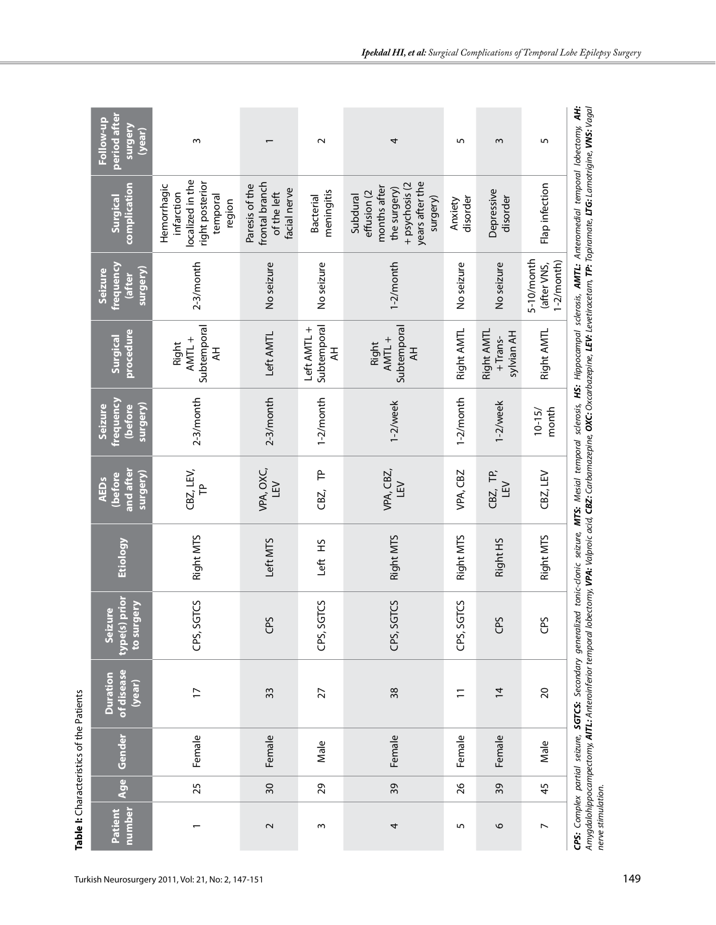|                                          | period after<br>Follow-up<br><b>Surgery</b><br>( <b>year</b> ) | $\sim$                                                                                 |                                                                 | $\sim$                          | 4                                                                                                        | 5                   | w                                          | 5                                          |                                                                                                                                                                                                                                                                                                                                                                                                             |
|------------------------------------------|----------------------------------------------------------------|----------------------------------------------------------------------------------------|-----------------------------------------------------------------|---------------------------------|----------------------------------------------------------------------------------------------------------|---------------------|--------------------------------------------|--------------------------------------------|-------------------------------------------------------------------------------------------------------------------------------------------------------------------------------------------------------------------------------------------------------------------------------------------------------------------------------------------------------------------------------------------------------------|
| Table I: Characteristics of the Patients | complication<br>Surgical                                       | localized in the<br>right posterior<br>Hemorrhagic<br>infarction<br>temporal<br>region | frontal branch<br>Paresis of the<br>facial nerve<br>of the left | meningitis<br><b>Bacterial</b>  | years after the<br>+ psychosis (2<br>months after<br>the surgery)<br>effusion (2<br>Subdural<br>surgery) | disorder<br>Anxiety | Depressive<br>disorder                     | Flap infection                             | SGTCS: Secondary generalized tonic-clonic seizure, MTS: Mesial temporal sclerosis, HS: Hippocampal sclerosis, AMTL: Anteromedial temporal lobectomy, AH:<br>Amygdalohippocampectomy, <b>AITL:</b> Anteroinferior temporal lobectomy, <b>VPA:</b> Valproic acid, <b>CBZ:</b> Carbamazepine, <b>OXC:</b> Oxcarbazepine, <b>LEV:</b> Levetiracetam, <b>TP:</b> Topiramate, LTG: Lamotrigine, <b>VNS:</b> Vagal |
|                                          | <u>frequency</u><br>surgery)<br>Seizure<br><b>after</b>        | $2-3/m$ onth                                                                           | No seizure                                                      | No seizure                      | $1-2/m$ onth                                                                                             | No seizure          | No seizure                                 | 5-10/month<br>$1-2/m$ onth)<br>(after VNS, |                                                                                                                                                                                                                                                                                                                                                                                                             |
|                                          | procedure<br>Surgical                                          | Subtemporal<br>AMTL +<br>Right<br>¥                                                    | Left AMTL                                                       | Subtemporal<br>Left AMTL +<br>₹ | Subtemporal<br>AMTL+<br>Right<br>H                                                                       | Right AMTL          | Right AMTL<br><b>Sylvian AH</b><br>+Trans- | Right AMTL                                 |                                                                                                                                                                                                                                                                                                                                                                                                             |
|                                          | <u>frequency</u><br>surgery)<br>(before<br>Seizure             | $2-3/m$ onth                                                                           | $2-3/m$ onth                                                    | $1-2/m$ onth                    | 1-2/week                                                                                                 | $1-2/m$ onth        | 1-2/week                                   | month<br>$10 - 15/$                        |                                                                                                                                                                                                                                                                                                                                                                                                             |
|                                          | and after<br>surgery)<br>(before<br><b>AEDs</b>                | CBZ, LEV,<br>$\mathsf{P}$                                                              | VPA, OXC,<br>LEV                                                | 은<br>CBZ,                       | VPA, CBZ,<br>LEV                                                                                         | VPA, CBZ            | CBZ, TP,<br>LEV                            | CBZ, LEV                                   |                                                                                                                                                                                                                                                                                                                                                                                                             |
|                                          | <b>Etiology</b>                                                | Right MTS                                                                              | Left MTS                                                        | Left HS                         | Right MTS                                                                                                | Right MTS           | Right HS                                   | Right MTS                                  |                                                                                                                                                                                                                                                                                                                                                                                                             |
|                                          | type(s) prior<br>to surgery<br>Seizure                         | CPS, SGTCS                                                                             | CPS                                                             | CPS, SGTCS                      | <b>TCS</b><br>CPS, SGT                                                                                   | CPS, SGTCS          | GPS                                        | GS                                         |                                                                                                                                                                                                                                                                                                                                                                                                             |
|                                          | of disease<br><b>Duration</b><br>(year)                        | $\overline{1}$                                                                         | 33                                                              | 27                              | 38                                                                                                       | $\overline{ }$      | $\overline{4}$                             | $\overline{c}$                             |                                                                                                                                                                                                                                                                                                                                                                                                             |
|                                          | Gender                                                         | Female                                                                                 | Female                                                          | Male                            | Female                                                                                                   | Female              | Female                                     | Male                                       |                                                                                                                                                                                                                                                                                                                                                                                                             |
|                                          | <b>Age</b>                                                     | 25                                                                                     | $\overline{\mathcal{E}}$                                        | 29                              | 39                                                                                                       | 26                  | 39                                         | 45                                         |                                                                                                                                                                                                                                                                                                                                                                                                             |
|                                          | number<br>Patient                                              |                                                                                        | $\sim$                                                          | 3                               | 4                                                                                                        | 5                   | 6                                          | $\overline{\phantom{0}}$                   | CPS: Complex partial seizure,<br>nerve stimulation.                                                                                                                                                                                                                                                                                                                                                         |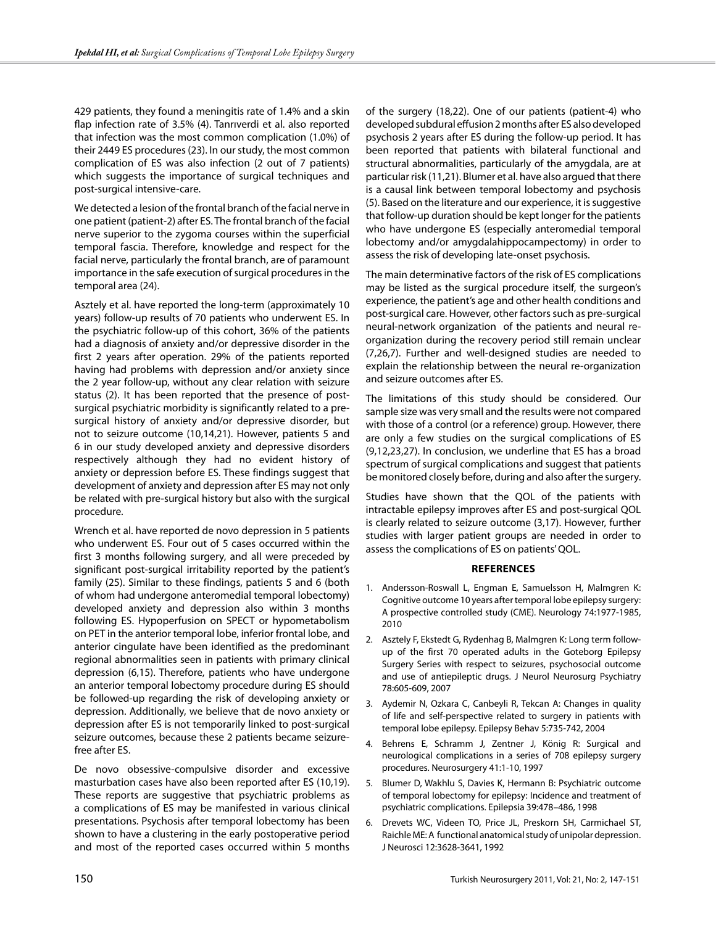429 patients, they found a meningitis rate of 1.4% and a skin flap infection rate of 3.5% (4). Tanrıverdi et al. also reported that infection was the most common complication (1.0%) of their 2449 ES procedures (23). In our study, the most common complication of ES was also infection (2 out of 7 patients) which suggests the importance of surgical techniques and post-surgical intensive-care.

We detected a lesion of the frontal branch of the facial nerve in one patient (patient-2) after ES. The frontal branch of the facial nerve superior to the zygoma courses within the superficial temporal fascia. Therefore, knowledge and respect for the facial nerve, particularly the frontal branch, are of paramount importance in the safe execution of surgical procedures in the temporal area (24).

Asztely et al. have reported the long-term (approximately 10 years) follow-up results of 70 patients who underwent ES. In the psychiatric follow-up of this cohort, 36% of the patients had a diagnosis of anxiety and/or depressive disorder in the first 2 years after operation. 29% of the patients reported having had problems with depression and/or anxiety since the 2 year follow-up, without any clear relation with seizure status (2). It has been reported that the presence of postsurgical psychiatric morbidity is significantly related to a presurgical history of anxiety and/or depressive disorder, but not to seizure outcome (10,14,21). However, patients 5 and 6 in our study developed anxiety and depressive disorders respectively although they had no evident history of anxiety or depression before ES. These findings suggest that development of anxiety and depression after ES may not only be related with pre-surgical history but also with the surgical procedure.

Wrench et al. have reported de novo depression in 5 patients who underwent ES. Four out of 5 cases occurred within the first 3 months following surgery, and all were preceded by significant post-surgical irritability reported by the patient's family (25). Similar to these findings, patients 5 and 6 (both of whom had undergone anteromedial temporal lobectomy) developed anxiety and depression also within 3 months following ES. Hypoperfusion on SPECT or hypometabolism on PET in the anterior temporal lobe, inferior frontal lobe, and anterior cingulate have been identified as the predominant regional abnormalities seen in patients with primary clinical depression (6,15). Therefore, patients who have undergone an anterior temporal lobectomy procedure during ES should be followed-up regarding the risk of developing anxiety or depression. Additionally, we believe that de novo anxiety or depression after ES is not temporarily linked to post-surgical seizure outcomes, because these 2 patients became seizurefree after ES.

De novo obsessive-compulsive disorder and excessive masturbation cases have also been reported after ES (10,19). These reports are suggestive that psychiatric problems as a complications of ES may be manifested in various clinical presentations. Psychosis after temporal lobectomy has been shown to have a clustering in the early postoperative period and most of the reported cases occurred within 5 months

of the surgery (18,22). One of our patients (patient-4) who developed subdural effusion 2 months after ES also developed psychosis 2 years after ES during the follow-up period. It has been reported that patients with bilateral functional and structural abnormalities, particularly of the amygdala, are at particular risk (11,21). Blumer et al. have also argued that there is a causal link between temporal lobectomy and psychosis (5). Based on the literature and our experience, it is suggestive that follow-up duration should be kept longer for the patients who have undergone ES (especially anteromedial temporal lobectomy and/or amygdalahippocampectomy) in order to assess the risk of developing late-onset psychosis.

The main determinative factors of the risk of ES complications may be listed as the surgical procedure itself, the surgeon's experience, the patient's age and other health conditions and post-surgical care. However, other factors such as pre-surgical neural-network organization of the patients and neural reorganization during the recovery period still remain unclear (7,26,7). Further and well-designed studies are needed to explain the relationship between the neural re-organization and seizure outcomes after ES.

The limitations of this study should be considered. Our sample size was very small and the results were not compared with those of a control (or a reference) group. However, there are only a few studies on the surgical complications of ES (9,12,23,27). In conclusion, we underline that ES has a broad spectrum of surgical complications and suggest that patients be monitored closely before, during and also after the surgery.

Studies have shown that the QOL of the patients with intractable epilepsy improves after ES and post-surgical QOL is clearly related to seizure outcome (3,17). However, further studies with larger patient groups are needed in order to assess the complications of ES on patients' QOL.

## **References**

- 1. Andersson-Roswall L, Engman E, Samuelsson H, Malmgren K: Cognitive outcome 10 years after temporal lobe epilepsy surgery: A prospective controlled study (CME). Neurology 74:1977-1985, 2010
- 2. Asztely F, Ekstedt G, Rydenhag B, Malmgren K: Long term followup of the first 70 operated adults in the Goteborg Epilepsy Surgery Series with respect to seizures, psychosocial outcome and use of antiepileptic drugs. J Neurol Neurosurg Psychiatry 78:605-609, 2007
- 3. Aydemir N, Ozkara C, Canbeyli R, Tekcan A: Changes in quality of life and self-perspective related to surgery in patients with temporal lobe epilepsy. Epilepsy Behav 5:735-742, 2004
- 4. Behrens E, Schramm J, Zentner J, König R: Surgical and neurological complications in a series of 708 epilepsy surgery procedures. Neurosurgery 41:1-10, 1997
- 5. Blumer D, Wakhlu S, Davies K, Hermann B: Psychiatric outcome of temporal lobectomy for epilepsy: Incidence and treatment of psychiatric complications. Epilepsia 39:478–486, 1998
- 6. Drevets WC, Videen TO, Price JL, Preskorn SH, Carmichael ST, Raichle ME: A functional anatomical study of unipolar depression. J Neurosci 12:3628-3641, 1992